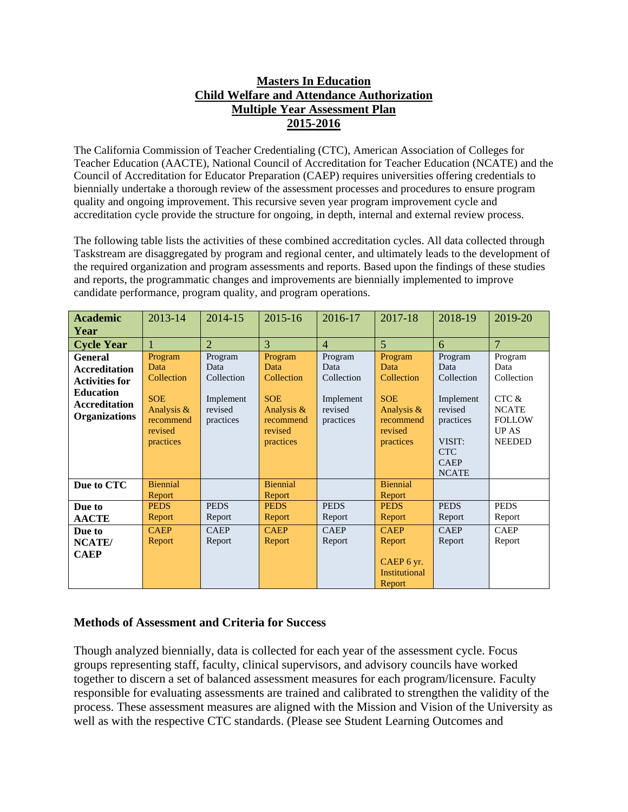## **Masters In Education Child Welfare and Attendance Authorization Multiple Year Assessment Plan 2015-2016**

The California Commission of Teacher Credentialing (CTC), American Association of Colleges for Teacher Education (AACTE), National Council of Accreditation for Teacher Education (NCATE) and the Council of Accreditation for Educator Preparation (CAEP) requires universities offering credentials to biennially undertake a thorough review of the assessment processes and procedures to ensure program quality and ongoing improvement. This recursive seven year program improvement cycle and accreditation cycle provide the structure for ongoing, in depth, internal and external review process.

The following table lists the activities of these combined accreditation cycles. All data collected through Taskstream are disaggregated by program and regional center, and ultimately leads to the development of the required organization and program assessments and reports. Based upon the findings of these studies and reports, the programmatic changes and improvements are biennially implemented to improve candidate performance, program quality, and program operations.

| <b>Academic</b>       | 2013-14               | 2014-15              | 2015-16               | 2016-17              | 2017-18               | 2018-19              | 2019-20        |
|-----------------------|-----------------------|----------------------|-----------------------|----------------------|-----------------------|----------------------|----------------|
| Year                  |                       |                      |                       |                      |                       |                      |                |
| <b>Cycle Year</b>     |                       | $\overline{2}$       | 3                     | $\overline{4}$       | $\overline{5}$        | 6                    | $\overline{7}$ |
| <b>General</b>        | Program               | Program              | Program               | Program              | Program               | Program              | Program        |
| <b>Accreditation</b>  | Data                  | Data                 | Data                  | Data                 | Data                  | Data                 | Data           |
| <b>Activities for</b> | Collection            | Collection           | Collection            | Collection           | Collection            | Collection           | Collection     |
| <b>Education</b>      | <b>SOE</b>            |                      | <b>SOE</b>            |                      | <b>SOE</b>            |                      | CTC &          |
| <b>Accreditation</b>  | Analysis &            | Implement<br>revised | Analysis &            | Implement<br>revised | Analysis &            | Implement<br>revised | <b>NCATE</b>   |
| <b>Organizations</b>  | recommend             | practices            | recommend             | practices            | recommend             | practices            | <b>FOLLOW</b>  |
|                       | revised               |                      | revised               |                      | revised               |                      | <b>UP AS</b>   |
|                       | practices             |                      | practices             |                      | practices             | VISIT:               | <b>NEEDED</b>  |
|                       |                       |                      |                       |                      |                       | <b>CTC</b>           |                |
|                       |                       |                      |                       |                      |                       | <b>CAEP</b>          |                |
|                       |                       |                      |                       |                      |                       | <b>NCATE</b>         |                |
| Due to CTC            | <b>Biennial</b>       |                      | <b>Biennial</b>       |                      | <b>Biennial</b>       |                      |                |
|                       | Report<br><b>PEDS</b> | <b>PEDS</b>          | Report<br><b>PEDS</b> | <b>PEDS</b>          | Report<br><b>PEDS</b> | <b>PEDS</b>          | <b>PEDS</b>    |
| Due to                |                       |                      |                       |                      |                       |                      |                |
| <b>AACTE</b>          | Report                | Report               | Report                | Report               | Report                | Report               | Report         |
| Due to                | <b>CAEP</b>           | <b>CAEP</b>          | <b>CAEP</b>           | <b>CAEP</b>          | <b>CAEP</b>           | <b>CAEP</b>          | <b>CAEP</b>    |
| NCATE/                | Report                | Report               | Report                | Report               | Report                | Report               | Report         |
| <b>CAEP</b>           |                       |                      |                       |                      |                       |                      |                |
|                       |                       |                      |                       |                      | CAEP 6 yr.            |                      |                |
|                       |                       |                      |                       |                      | <b>Institutional</b>  |                      |                |
|                       |                       |                      |                       |                      | Report                |                      |                |

## **Methods of Assessment and Criteria for Success**

Though analyzed biennially, data is collected for each year of the assessment cycle. Focus groups representing staff, faculty, clinical supervisors, and advisory councils have worked together to discern a set of balanced assessment measures for each program/licensure. Faculty responsible for evaluating assessments are trained and calibrated to strengthen the validity of the process. These assessment measures are aligned with the Mission and Vision of the University as well as with the respective CTC standards. (Please see Student Learning Outcomes and